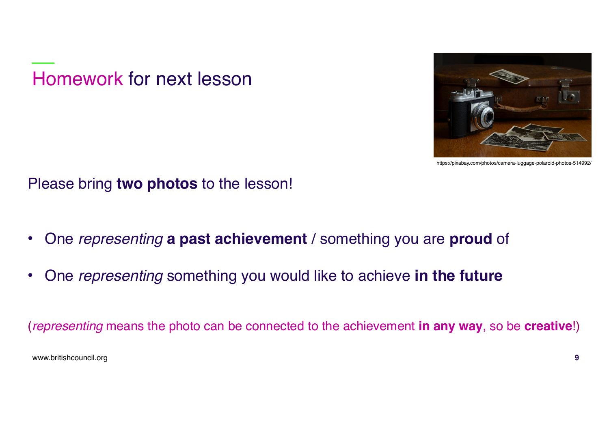Homework for next lesson



https://pixabay.com/photos/camera-luggage-polaroid-photos-514992/

Please bring **two photos** to the lesson!

- One *representing* **a past achievement** / something you are **proud** of
- One *representing* something you would like to achieve **in the future**

(*representing* means the photo can be connected to the achievement **in any way**, so be **creative**!)

www.britishcouncil.org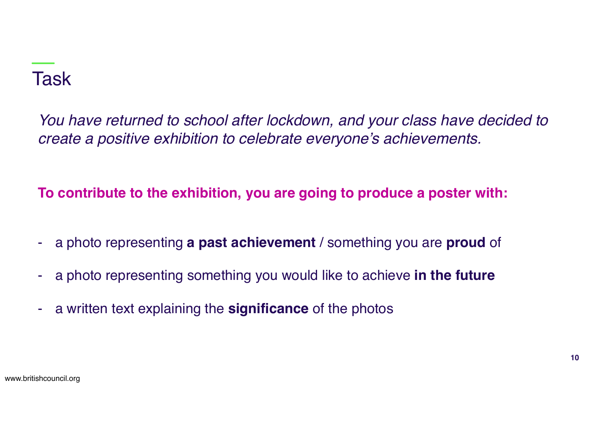# Task

*You have returned to school after lockdown, and your class have decided to create a positive exhibition to celebrate everyone's achievements.*

**To contribute to the exhibition, you are going to produce a poster with:**

- a photo representing **a past achievement** / something you are **proud** of
- a photo representing something you would like to achieve **in the future**
- a written text explaining the **significance** of the photos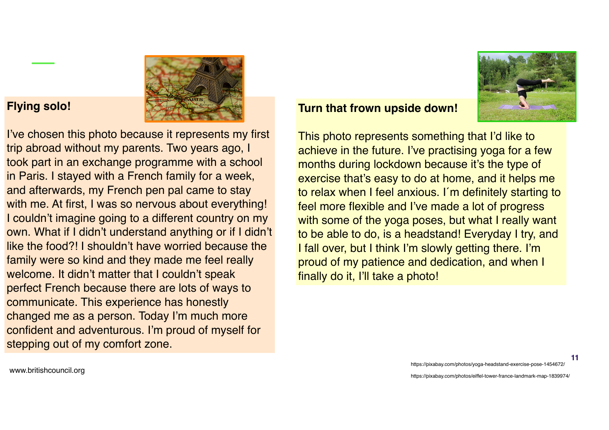### **Flying solo!**

I've chosen this photo because it represents my first trip abroad without my parents. Two years ago, I took part in an exchange programme with a school in Paris. I stayed with a French family for a week, and afterwards, my French pen pal came to stay with me. At first, I was so nervous about everything! I couldn't imagine going to a different country on my own. What if I didn't understand anything or if I didn't like the food?! I shouldn't have worried because the family were so kind and they made me feel really welcome. It didn't matter that I couldn't speak perfect French because there are lots of ways to communicate. This experience has honestly changed me as a person. Today I'm much more confident and adventurous. I'm proud of myself for stepping out of my comfort zone.



#### **Turn that frown upside down!**

This photo represents something that I'd like to achieve in the future. I've practising yoga for a few months during lockdown because it's the type of exercise that's easy to do at home, and it helps me to relax when I feel anxious. I´m definitely starting to feel more flexible and I've made a lot of progress with some of the yoga poses, but what I really want to be able to do, is a headstand! Everyday I try, and I fall over, but I think I'm slowly getting there. I'm proud of my patience and dedication, and when I finally do it, I'll take a photo!

www.britishcouncil.org

https://pixabay.com/photos/yoga-headstand-exercise-pose-1454672/

**11**

https://pixabay.com/photos/eiffel-tower-france-landmark-map-1839974/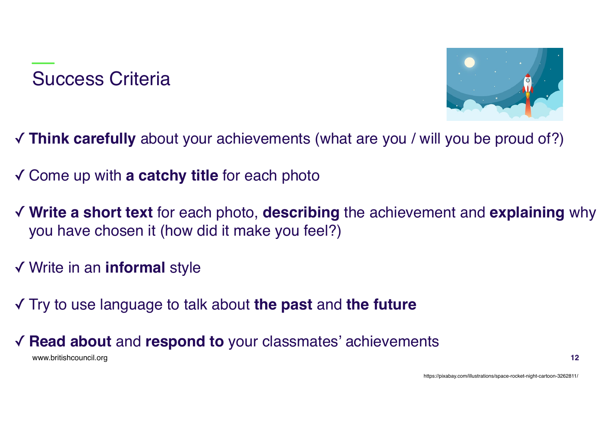### Success Criteria



- ✓ **Think carefully** about your achievements (what are you / will you be proud of?)
- ✓ Come up with **a catchy title** for each photo
- ✓ **Write a short text** for each photo, **describing** the achievement and **explaining** why you have chosen it (how did it make you feel?)
- ✓ Write in an **informal** style
- ✓ Try to use language to talk about **the past** and **the future**
- www.britishcouncil.org ✓ **Read about** and **respond to** your classmates' achievements

https://pixabay.com/illustrations/space-rocket-night-cartoon-3262811/